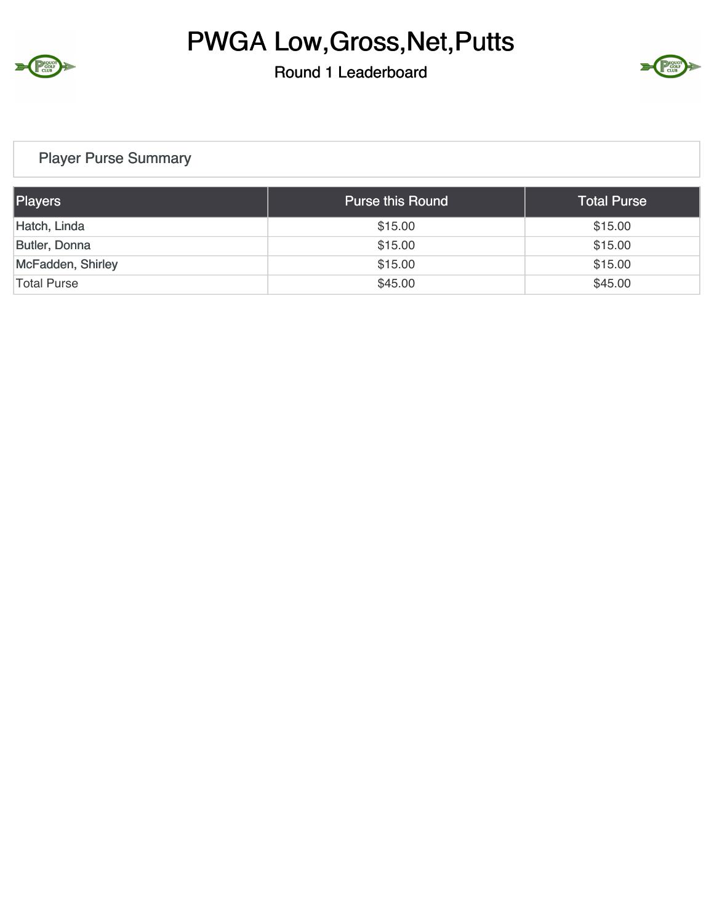

### Round 1 Leaderboard



### Player Purse Summary

| Players              | <b>Purse this Round</b> | <b>Total Purse</b> |
|----------------------|-------------------------|--------------------|
| Hatch, Linda         | \$15.00                 | \$15.00            |
| <b>Butler, Donna</b> | \$15.00                 | \$15.00            |
| McFadden, Shirley    | \$15.00                 | \$15.00            |
| Total Purse          | \$45.00                 | \$45.00            |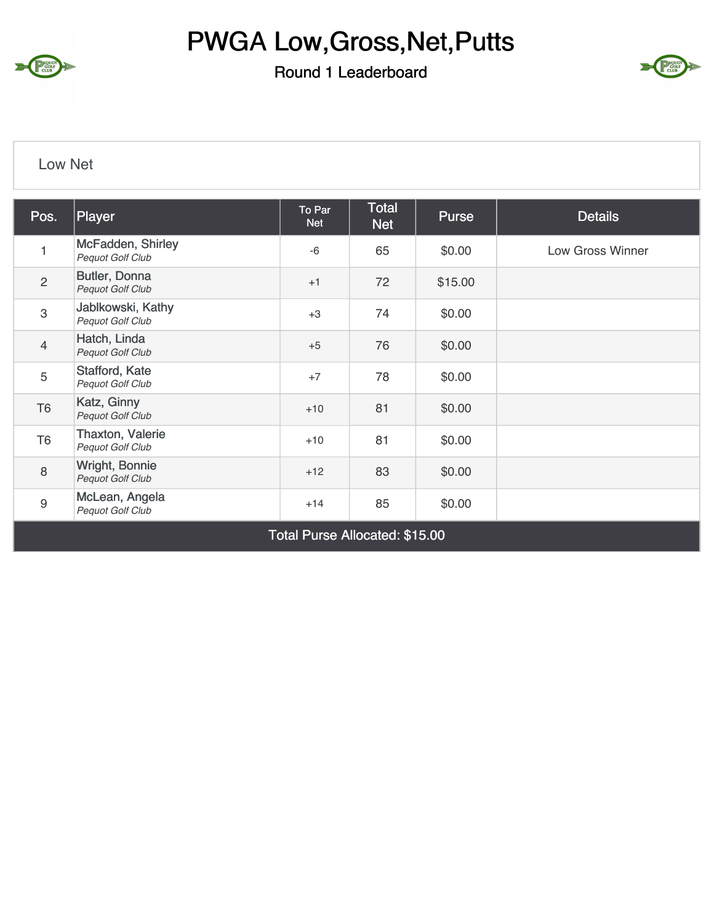

## Round 1 Leaderboard



#### Low Net

| Pos.           | Player                                             | To Par<br><b>Net</b> | Total<br><b>Net</b> | <b>Purse</b> | <b>Details</b>   |
|----------------|----------------------------------------------------|----------------------|---------------------|--------------|------------------|
| 1              | McFadden, Shirley<br>Pequot Golf Club              | $-6$                 | 65                  | \$0.00       | Low Gross Winner |
| $\overline{2}$ | Butler, Donna<br>Pequot Golf Club                  | $+1$                 | 72                  | \$15.00      |                  |
| 3              | Jablkowski, Kathy<br>Pequot Golf Club              | $+3$                 | 74                  | \$0.00       |                  |
| $\overline{4}$ | Hatch, Linda<br>Pequot Golf Club                   | $+5$                 | 76                  | \$0.00       |                  |
| 5              | Stafford, Kate<br>Pequot Golf Club                 | $+7$                 | 78                  | \$0.00       |                  |
| T <sub>6</sub> | Katz, Ginny<br><b>Pequot Golf Club</b>             | $+10$                | 81                  | \$0.00       |                  |
| T <sub>6</sub> | <b>Thaxton, Valerie</b><br><b>Pequot Golf Club</b> | $+10$                | 81                  | \$0.00       |                  |
| 8              | Wright, Bonnie<br>Pequot Golf Club                 | $+12$                | 83                  | \$0.00       |                  |
| 9              | McLean, Angela<br>Pequot Golf Club                 | $+14$                | 85                  | \$0.00       |                  |

Total Purse Allocated: \$15.00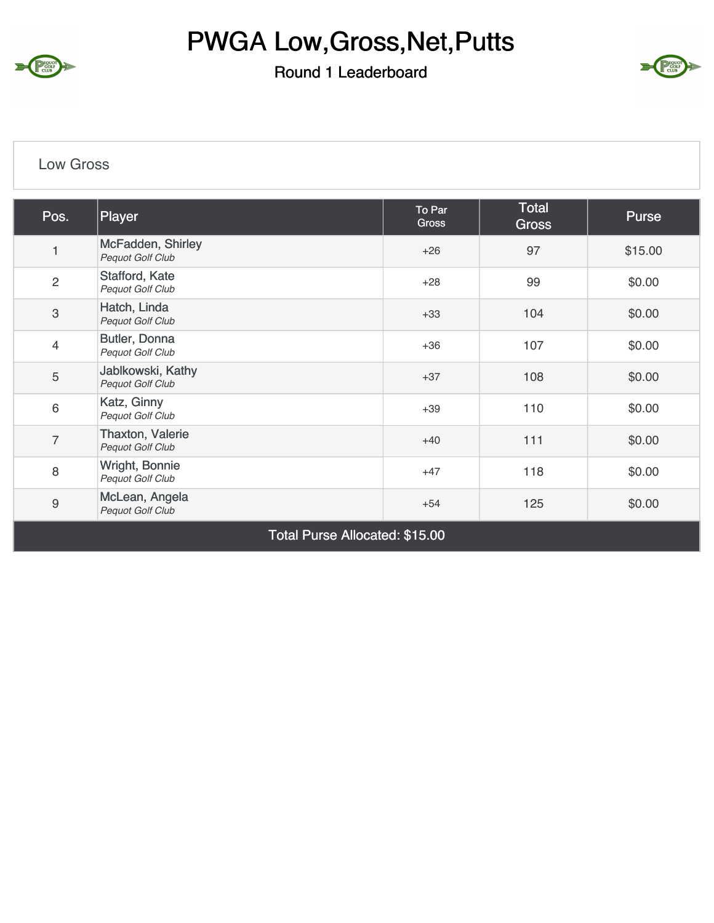

#### Round 1 Leaderboard



#### Low Gross

| Pos.           | Player                                      | To Par<br>Gross | <b>Total</b><br><b>Gross</b> | Purse   |
|----------------|---------------------------------------------|-----------------|------------------------------|---------|
|                | McFadden, Shirley<br>Pequot Golf Club       | $+26$           | 97                           | \$15.00 |
| $\overline{c}$ | Stafford, Kate<br>Pequot Golf Club          | $+28$           | 99                           | \$0.00  |
| 3              | Hatch, Linda<br>Pequot Golf Club            | $+33$           | 104                          | \$0.00  |
| $\overline{4}$ | Butler, Donna<br>Pequot Golf Club           | $+36$           | 107                          | \$0.00  |
| 5              | Jablkowski, Kathy<br>Pequot Golf Club       | $+37$           | 108                          | \$0.00  |
| 6              | Katz, Ginny<br>Pequot Golf Club             | $+39$           | 110                          | \$0.00  |
| $\overline{7}$ | <b>Thaxton, Valerie</b><br>Pequot Golf Club | $+40$           | 111                          | \$0.00  |
| 8              | Wright, Bonnie<br>Pequot Golf Club          | $+47$           | 118                          | \$0.00  |
| $\hbox{9}$     | McLean, Angela<br>Pequot Golf Club          | $+54$           | 125                          | \$0.00  |

Total Purse Allocated: \$15.00